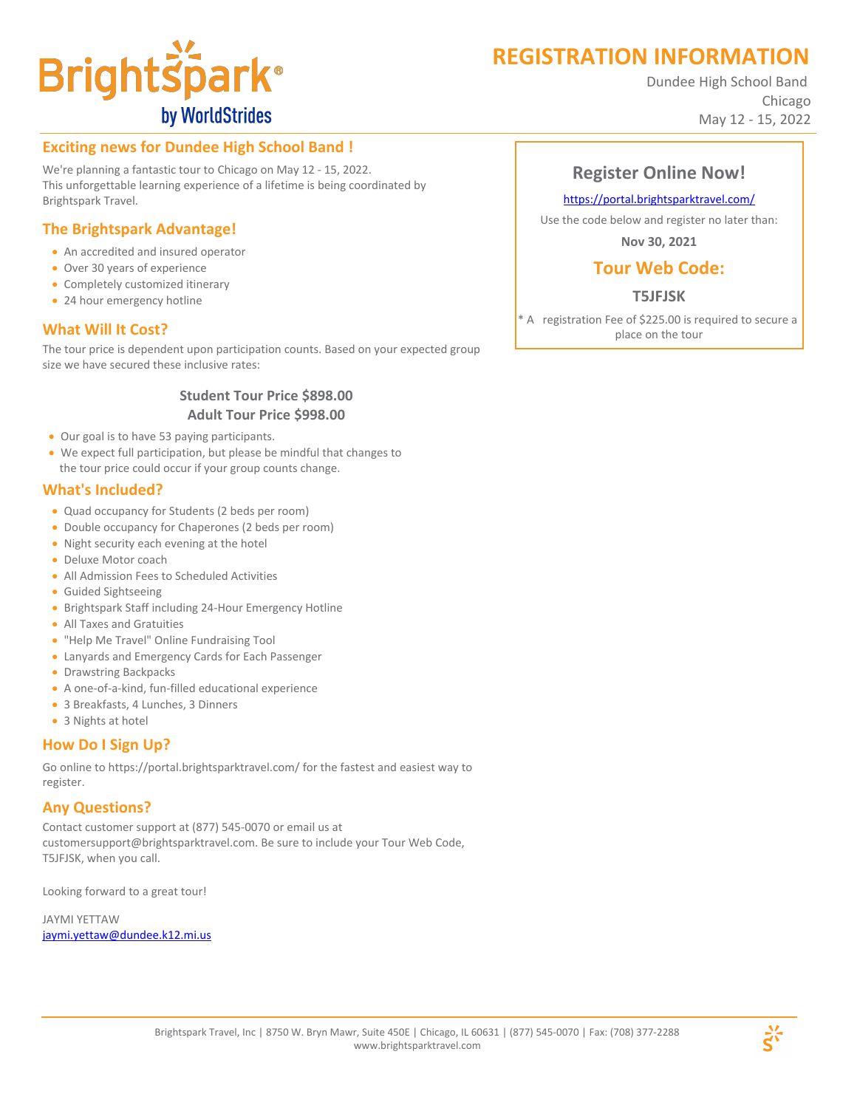# **REGISTRATION INFORMATION**



Dundee High School Band Chicago May 12 - 15, 2022

# **Exciting news for Dundee High School Band !**

We're planning a fantastic tour to Chicago on May 12 - 15, 2022. This unforgettable learning experience of a lifetime is being coordinated by Brightspark Travel.

# **The Brightspark Advantage!**

- · An accredited and insured operator
- · Over 30 years of experience
- · Completely customized itinerary
- 24 hour emergency hotline

## **What Will It Cost?**

The tour price is dependent upon participation counts. Based on your expected group size we have secured these inclusive rates:

#### **Student Tour Price \$898.00 Adult Tour Price \$998.00**

- · Our goal is to have 53 paying participants.
- · We expect full participation, but please be mindful that changes to the tour price could occur if your group counts change.

#### **What's Included?**

- · Quad occupancy for Students (2 beds per room)
- · Double occupancy for Chaperones (2 beds per room)
- · Night security each evening at the hotel
- · Deluxe Motor coach
- · All Admission Fees to Scheduled Activities
- · Guided Sightseeing
- · Brightspark Staff including 24-Hour Emergency Hotline
- · All Taxes and Gratuities
- · "Help Me Travel" Online Fundraising Tool
- · Lanyards and Emergency Cards for Each Passenger
- Drawstring Backpacks
- · A one-of-a-kind, fun-filled educational experience
- · 3 Breakfasts, 4 Lunches, 3 Dinners
- 3 Nights at hotel

# **How Do I Sign Up?**

Go online to https://portal.brightsparktravel.com/ for the fastest and easiest way to register.

#### **Any Questions?**

Contact customer support at (877) 545-0070 or email us at customersupport@brightsparktravel.com. Be sure to include your Tour Web Code, T5JFJSK, when you call.

Looking forward to a great tour!

JAYMI YETTAW jaymi.yettaw@dundee.k12.mi.us

# **Register Online Now!**

#### https://portal.brightsparktravel.com/

Use the code below and register no later than:

**Nov 30, 2021**

# **Tour Web Code:**

## **T5JFJSK**

\* A registration Fee of \$225.00 is required to secure a place on the tour